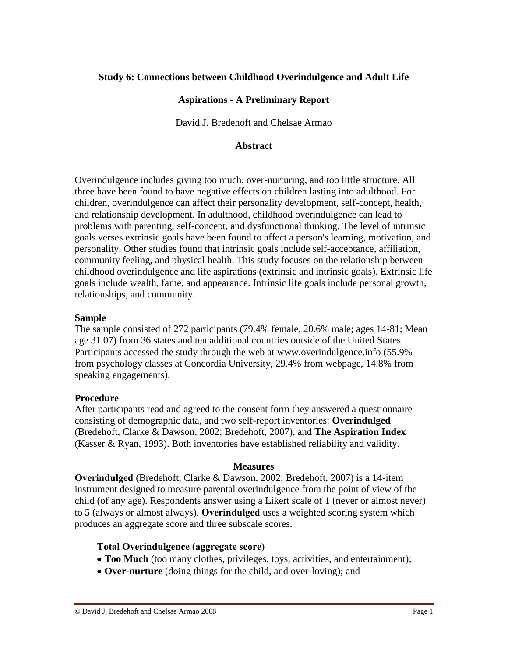## **Study 6: Connections between Childhood Overindulgence and Adult Life**

### **Aspirations - A Preliminary Report**

David J. Bredehoft and Chelsae Armao

### **Abstract**

Overindulgence includes giving too much, over-nurturing, and too little structure. All three have been found to have negative effects on children lasting into adulthood. For children, overindulgence can affect their personality development, self-concept, health, and relationship development. In adulthood, childhood overindulgence can lead to problems with parenting, self-concept, and dysfunctional thinking. The level of intrinsic goals verses extrinsic goals have been found to affect a person's learning, motivation, and personality. Other studies found that intrinsic goals include self-acceptance, affiliation, community feeling, and physical health. This study focuses on the relationship between childhood overindulgence and life aspirations (extrinsic and intrinsic goals). Extrinsic life goals include wealth, fame, and appearance. Intrinsic life goals include personal growth, relationships, and community.

#### **Sample**

The sample consisted of 272 participants (79.4% female, 20.6% male; ages 14-81; Mean age 31.07) from 36 states and ten additional countries outside of the United States. Participants accessed the study through the web at [www.overindulgence.info](http://www.overindulgence.info/) (55.9% from psychology classes at Concordia University, 29.4% from webpage, 14.8% from speaking engagements).

### **Procedure**

After participants read and agreed to the consent form they answered a questionnaire consisting of demographic data, and two self-report inventories: **Overindulged** (Bredehoft, Clarke & Dawson, 2002; Bredehoft, 2007), and **The Aspiration Index** (Kasser & Ryan, 1993). Both inventories have established reliability and validity.

#### **Measures**

**Overindulged** (Bredehoft, Clarke & Dawson, 2002; Bredehoft, 2007) is a 14-item instrument designed to measure parental overindulgence from the point of view of the child (of any age). Respondents answer using a Likert scale of 1 (never or almost never) to 5 (always or almost always). **Overindulged** uses a weighted scoring system which produces an aggregate score and three subscale scores.

### **Total Overindulgence (aggregate score)**

- **Too Much** (too many clothes, privileges, toys, activities, and entertainment);
- **Over-nurture** (doing things for the child, and over-loving); and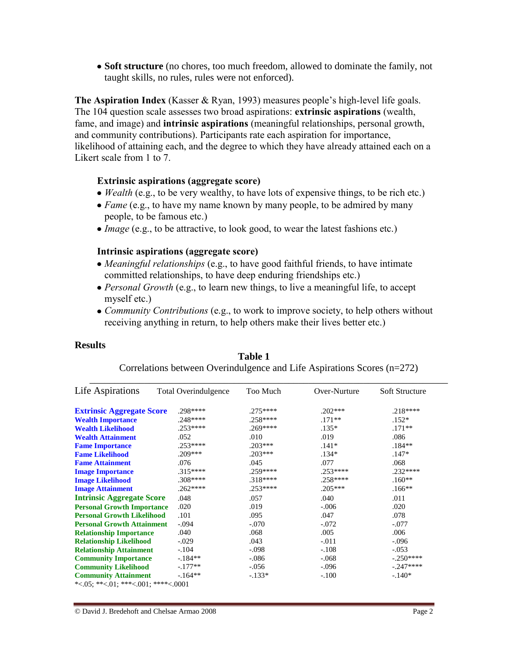**Soft structure** (no chores, too much freedom, allowed to dominate the family, not taught skills, no rules, rules were not enforced).

**The Aspiration Index** (Kasser & Ryan, 1993) measures people's high-level life goals. The 104 question scale assesses two broad aspirations: **extrinsic aspirations** (wealth, fame, and image) and **intrinsic aspirations** (meaningful relationships, personal growth, and community contributions). Participants rate each aspiration for importance, likelihood of attaining each, and the degree to which they have already attained each on a Likert scale from 1 to 7.

### **Extrinsic aspirations (aggregate score)**

- *Wealth* (e.g., to be very wealthy, to have lots of expensive things, to be rich etc.)
- *Fame* (e.g., to have my name known by many people, to be admired by many people, to be famous etc.)
- *Image* (e.g., to be attractive, to look good, to wear the latest fashions etc.)

### **Intrinsic aspirations (aggregate score)**

- *Meaningful relationships* (e.g., to have good faithful friends, to have intimate committed relationships, to have deep enduring friendships etc.)
- *Personal Growth* (e.g., to learn new things, to live a meaningful life, to accept myself etc.)
- *Community Contributions* (e.g., to work to improve society, to help others without receiving anything in return, to help others make their lives better etc.)

#### **Results**

| Life Aspirations                    | <b>Total Overindulgence</b> | Too Much  | Over-Nurture | <b>Soft Structure</b> |
|-------------------------------------|-----------------------------|-----------|--------------|-----------------------|
| <b>Extrinsic Aggregate Score</b>    | .298****                    | $.275***$ | $.202***$    | $.218***$             |
| <b>Wealth Importance</b>            | $.248***$                   | $.258***$ | $.171**$     | $.152*$               |
| <b>Wealth Likelihood</b>            | $.253***$                   | .269****  | $.135*$      | $.171**$              |
| <b>Wealth Attainment</b>            | .052                        | .010      | .019         | .086                  |
| <b>Fame Importance</b>              | $.253***$                   | $.203***$ | $.141*$      | $.184**$              |
| <b>Fame Likelihood</b>              | $.209***$                   | $.203***$ | $.134*$      | $.147*$               |
| <b>Fame Attainment</b>              | .076                        | .045      | .077         | .068                  |
| <b>Image Importance</b>             | $.315***$                   | $.259***$ | $.253***$    | $.232***$             |
| <b>Image Likelihood</b>             | .308****                    | $.318***$ | $.258***$    | $.160**$              |
| <b>Image Attainment</b>             | $.262***$                   | .253****  | $.205***$    | $.166**$              |
| <b>Intrinsic Aggregate Score</b>    | .048                        | .057      | .040         | .011                  |
| <b>Personal Growth Importance</b>   | .020                        | .019      | $-.006$      | .020                  |
| <b>Personal Growth Likelihood</b>   | .101                        | .095      | .047         | .078                  |
| <b>Personal Growth Attainment</b>   | $-.094$                     | $-.070$   | $-.072$      | $-.077$               |
| <b>Relationship Importance</b>      | .040                        | .068      | .005         | .006                  |
| <b>Relationship Likelihood</b>      | $-.029$                     | .043      | $-.011$      | $-.096$               |
| <b>Relationship Attainment</b>      | $-.104$                     | $-.098$   | $-.108$      | $-.053$               |
| <b>Community Importance</b>         | $-184**$                    | $-.086$   | $-.068$      | $-.250***$            |
| <b>Community Likelihood</b>         | $-.177**$                   | $-.056$   | $-.096$      | $-.247***$            |
| <b>Community Attainment</b>         | $-164**$                    | $-.133*$  | $-.100$      | $-.140*$              |
| *<.05; **<.01; ***<.001; ****<.0001 |                             |           |              |                       |

**Table 1**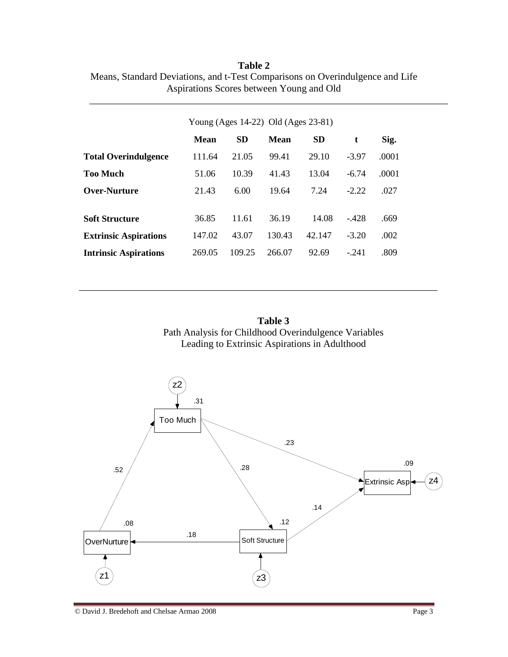|                              | Young (Ages 14-22) Old (Ages 23-81) |           |             |           |         |       |  |  |  |
|------------------------------|-------------------------------------|-----------|-------------|-----------|---------|-------|--|--|--|
|                              | <b>Mean</b>                         | <b>SD</b> | <b>Mean</b> | <b>SD</b> | t       | Sig.  |  |  |  |
| <b>Total Overindulgence</b>  | 111.64                              | 21.05     | 99.41       | 29.10     | $-3.97$ | .0001 |  |  |  |
| <b>Too Much</b>              | 51.06                               | 10.39     | 41.43       | 13.04     | $-6.74$ | .0001 |  |  |  |
| <b>Over-Nurture</b>          | 21.43                               | 6.00      | 19.64       | 7.24      | $-2.22$ | .027  |  |  |  |
| <b>Soft Structure</b>        | 36.85                               | 11.61     | 36.19       | 14.08     | $-.428$ | .669  |  |  |  |
| <b>Extrinsic Aspirations</b> | 147.02                              | 43.07     | 130.43      | 42.147    | $-3.20$ | .002  |  |  |  |
| <b>Intrinsic Aspirations</b> | 269.05                              | 109.25    | 266.07      | 92.69     | $-.241$ | .809  |  |  |  |

**Table 2** Means, Standard Deviations, and t-Test Comparisons on Overindulgence and Life Aspirations Scores between Young and Old

\_\_\_\_\_\_\_\_\_\_\_\_\_\_\_\_\_\_\_\_\_\_\_\_\_\_\_\_\_\_\_\_\_\_\_\_\_\_\_\_\_\_\_\_\_\_\_\_\_\_\_\_\_\_\_\_\_\_\_\_\_\_\_\_\_\_\_\_\_\_\_\_

**Table 3** Path Analysis for Childhood Overindulgence Variables Leading to Extrinsic Aspirations in Adulthood

\_\_\_\_\_\_\_\_\_\_\_\_\_\_\_\_\_\_\_\_\_\_\_\_\_\_\_\_\_\_\_\_\_\_\_\_\_\_\_\_\_\_\_\_\_\_\_\_\_\_\_\_\_\_\_\_\_\_\_\_\_\_\_\_\_\_\_\_\_\_\_\_

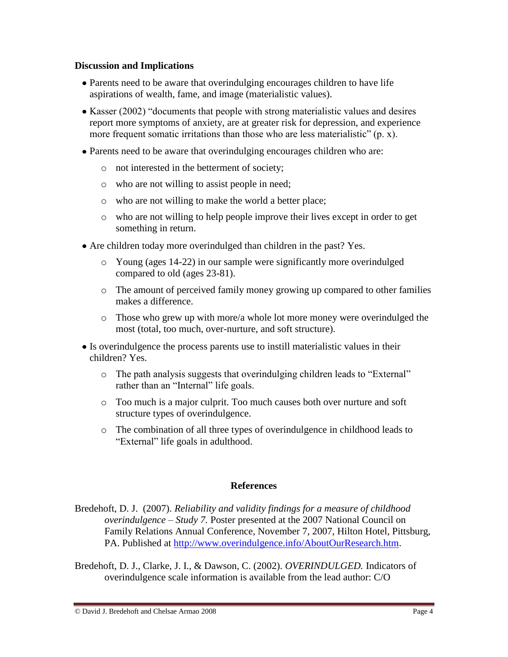## **Discussion and Implications**

- Parents need to be aware that overindulging encourages children to have life aspirations of wealth, fame, and image (materialistic values).
- Kasser (2002) "documents that people with strong materialistic values and desires report more symptoms of anxiety, are at greater risk for depression, and experience more frequent somatic irritations than those who are less materialistic" (p. x).
- Parents need to be aware that overindulging encourages children who are:
	- o not interested in the betterment of society;
	- o who are not willing to assist people in need;
	- o who are not willing to make the world a better place;
	- o who are not willing to help people improve their lives except in order to get something in return.
- Are children today more overindulged than children in the past? Yes.
	- o Young (ages 14-22) in our sample were significantly more overindulged compared to old (ages 23-81).
	- o The amount of perceived family money growing up compared to other families makes a difference.
	- o Those who grew up with more/a whole lot more money were overindulged the most (total, too much, over-nurture, and soft structure).
- Is overindulgence the process parents use to instill materialistic values in their children? Yes.
	- o The path analysis suggests that overindulging children leads to "External" rather than an "Internal" life goals.
	- o Too much is a major culprit. Too much causes both over nurture and soft structure types of overindulgence.
	- o The combination of all three types of overindulgence in childhood leads to "External" life goals in adulthood.

# **References**

- Bredehoft, D. J. (2007). *Reliability and validity findings for a measure of childhood overindulgence – Study 7.* Poster presented at the 2007 National Council on Family Relations Annual Conference, November 7, 2007, Hilton Hotel, Pittsburg, PA. Published at [http://www.overindulgence.info/AboutOurResearch.htm.](http://www.overindulgence.info/AboutOurResearch.htm)
- Bredehoft, D. J., Clarke, J. I., & Dawson, C. (2002). *OVERINDULGED.* Indicators of overindulgence scale information is available from the lead author: C/O